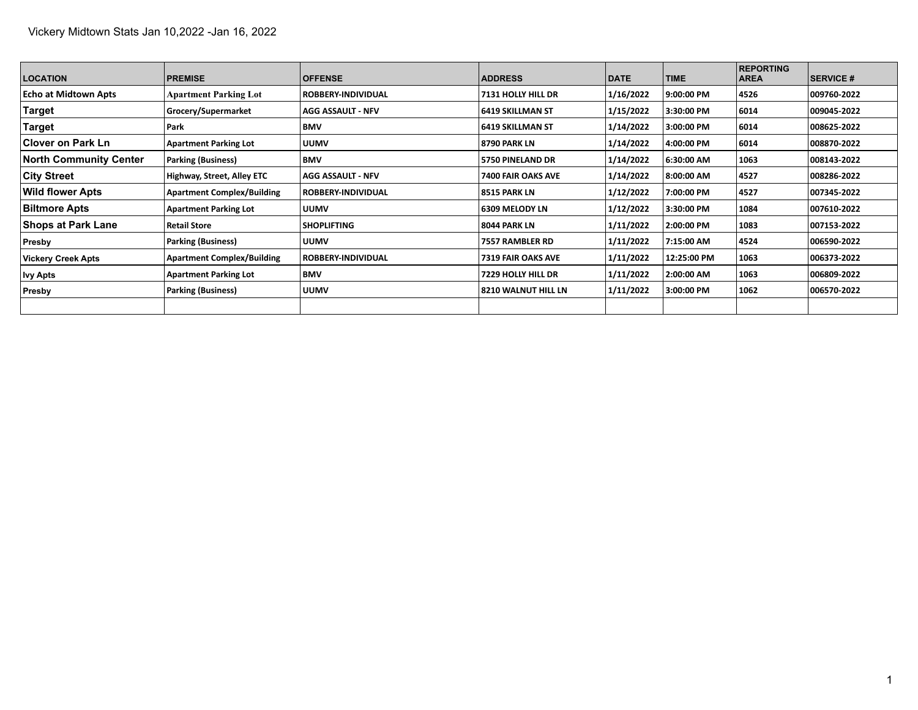| <b>LOCATION</b>           | <b>PREMISE</b>                    | <b>OFFENSE</b>            | <b>ADDRESS</b>            | <b>DATE</b> | <b>TIME</b> | <b>REPORTING</b><br><b>AREA</b> | <b>SERVICE #</b> |
|---------------------------|-----------------------------------|---------------------------|---------------------------|-------------|-------------|---------------------------------|------------------|
| Echo at Midtown Apts      | <b>Apartment Parking Lot</b>      | <b>ROBBERY-INDIVIDUAL</b> | 7131 HOLLY HILL DR        | 1/16/2022   | 9:00:00 PM  | 4526                            | 009760-2022      |
| Target                    | Grocery/Supermarket               | <b>AGG ASSAULT - NFV</b>  | 6419 SKILLMAN ST          | 1/15/2022   | 3:30:00 PM  | 6014                            | 009045-2022      |
| Target                    | Park                              | BMV                       | 6419 SKILLMAN ST          | 1/14/2022   | 3:00:00 PM  | 6014                            | 008625-2022      |
| ∣Clover on Park Ln        | <b>Apartment Parking Lot</b>      | <b>UUMV</b>               | 8790 PARK LN              | 1/14/2022   | 4:00:00 PM  | 6014                            | 008870-2022      |
| North Community Center    | <b>Parking (Business)</b>         | BMV                       | 5750 PINELAND DR          | 1/14/2022   | 6:30:00 AM  | 1063                            | 008143-2022      |
| <b>City Street</b>        | Highway, Street, Alley ETC        | <b>AGG ASSAULT - NFV</b>  | 7400 FAIR OAKS AVE        | 1/14/2022   | 8:00:00 AM  | 4527                            | 008286-2022      |
| <b>Wild flower Apts</b>   | <b>Apartment Complex/Building</b> | <b>ROBBERY-INDIVIDUAL</b> | 8515 PARK LN              | 1/12/2022   | 7:00:00 PM  | 4527                            | 007345-2022      |
| <b>Biltmore Apts</b>      | <b>Apartment Parking Lot</b>      | <b>UUMV</b>               | 6309 MELODY LN            | 1/12/2022   | 3:30:00 PM  | 1084                            | 007610-2022      |
| <b>Shops at Park Lane</b> | <b>Retail Store</b>               | <b>SHOPLIFTING</b>        | 8044 PARK LN              | 1/11/2022   | 2:00:00 PM  | 1083                            | 007153-2022      |
| Presby                    | <b>Parking (Business)</b>         | <b>UUMV</b>               | 7557 RAMBLER RD           | 1/11/2022   | 7:15:00 AM  | 4524                            | 006590-2022      |
| Vickery Creek Apts        | <b>Apartment Complex/Building</b> | <b>ROBBERY-INDIVIDUAL</b> | <b>7319 FAIR OAKS AVE</b> | 1/11/2022   | 12:25:00 PM | 1063                            | 006373-2022      |
| <b>Ivy Apts</b>           | <b>Apartment Parking Lot</b>      | <b>BMV</b>                | 7229 HOLLY HILL DR        | 1/11/2022   | 2:00:00 AM  | 1063                            | 006809-2022      |
| Presby                    | <b>Parking (Business)</b>         | <b>UUMV</b>               | 8210 WALNUT HILL LN       | 1/11/2022   | 3:00:00 PM  | 1062                            | 006570-2022      |
|                           |                                   |                           |                           |             |             |                                 |                  |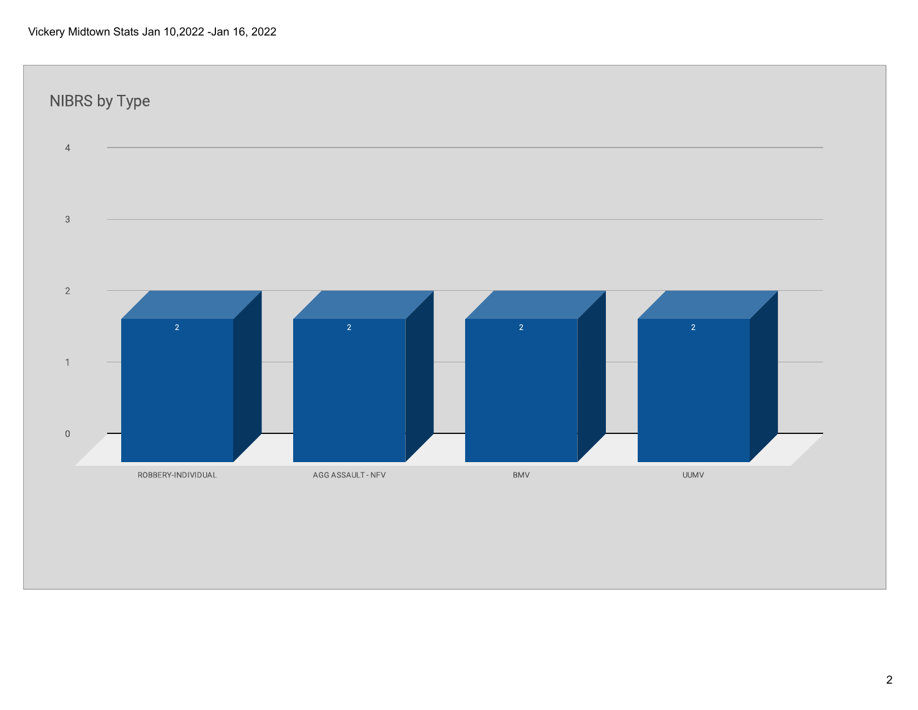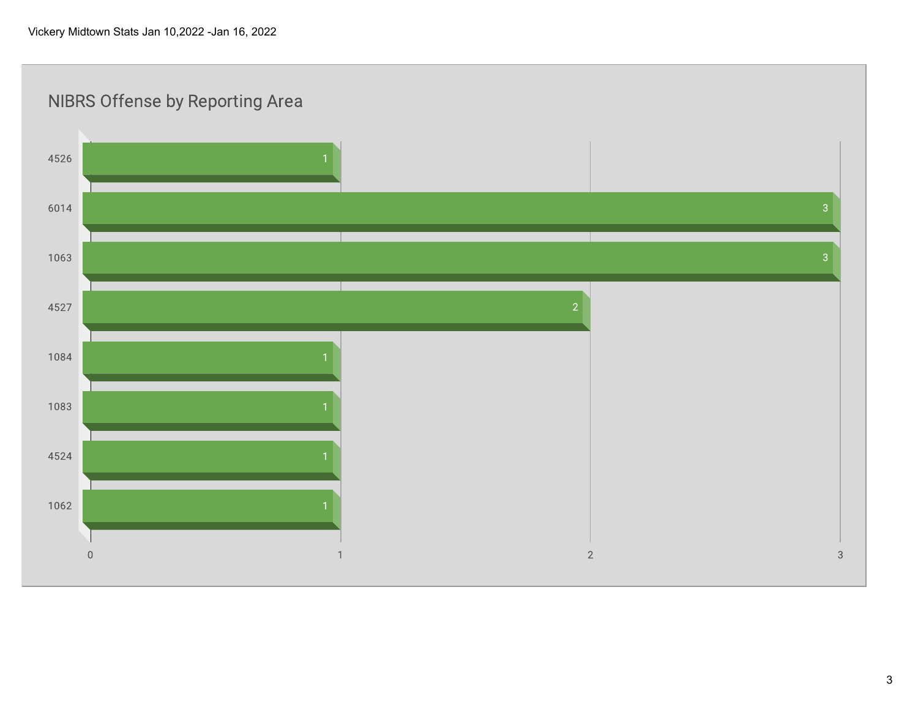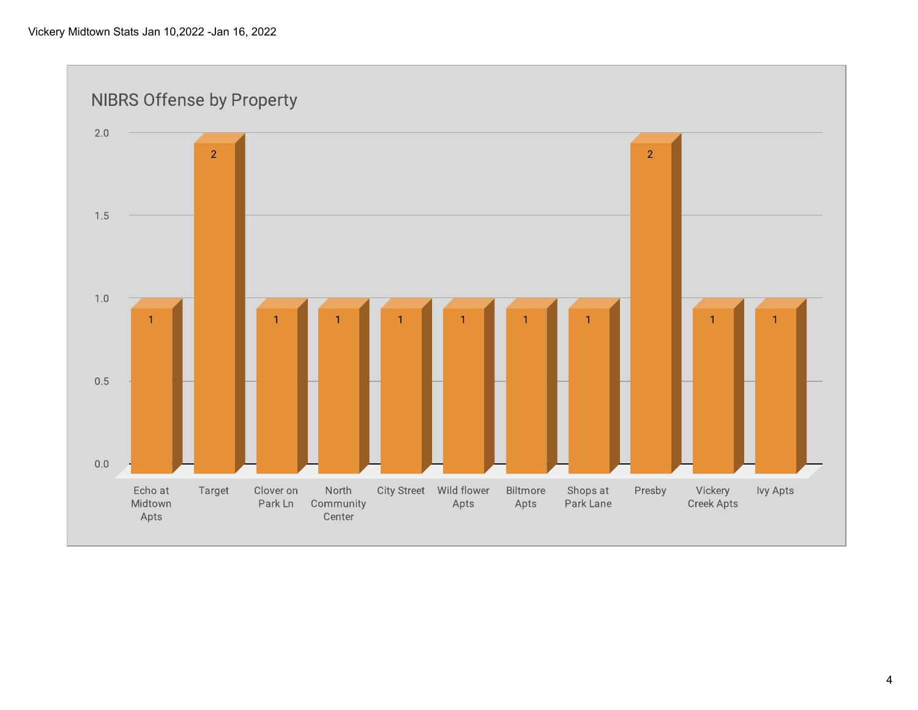